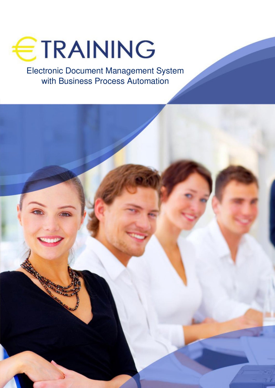

Electronic Document Management System with Business Process Automation

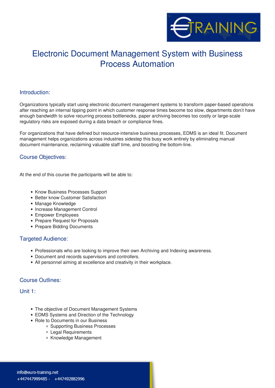

# Electronic Document Management System with Business Process Automation

#### **Introduction:**

Organizations typically start using electronic document management systems to transform paper-based operations after reaching an internal tipping point in which customer response times become too slow, departments don<sup>nt</sup> have enough bandwidth to solve recurring process bottlenecks, paper archiving becomes too costly or large-scale regulatory risks are exposed during a data breach or compliance fines.

For organizations that have defined but resource-intensive business processes, EDMS is an ideal fit. Document management helps organizations across industries sidestep this busy work entirely by eliminating manual document maintenance, reclaiming valuable staff time, and boosting the bottom-line.

## **Course Objectives:**

At the end of this course the participants will be able to:

- Know Business Processes Support
- Better know Customer Satisfaction
- Manage Knowledge
- Increase Management Control
- Empower Employees
- Prepare Request for Proposals
- Prepare Bidding Documents

#### **Targeted Audience:**

- Professionals who are looking to improve their own Archiving and Indexing awareness.
- Document and records supervisors and controllers.
- All personnel aiming at excellence and creativity in their workplace.

#### **Course Outlines:**

**Unit 1:**

- The objective of Document Management Systems
- EDMS Systems and Direction of the Technology
- Role to Documents in our Business
	- Supporting Business Processes
	- Legal Requirements
	- Knowledge Management